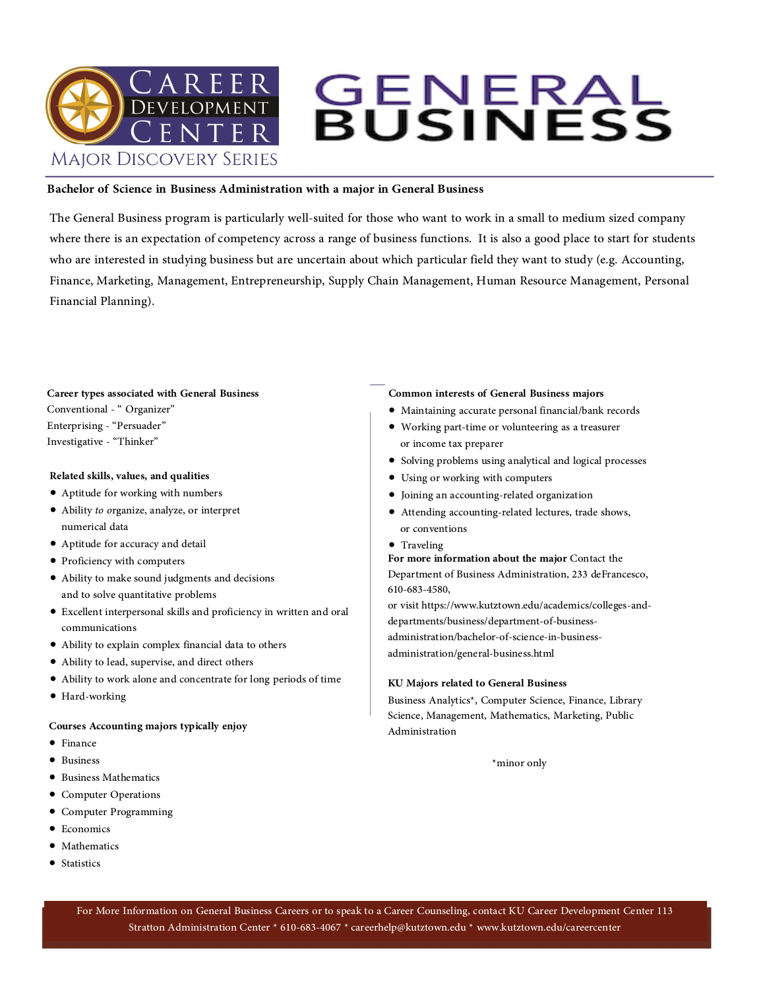# **GENERAL<br>BUSINESS MAJOR DISCOVERY SERIES**

### **Bachelor of Science in Business Administration with a major in General Business**

The General Business program is particularly well-suited for those who want to work in a small to medium sized company<br>where there is an expectation of competency across a range of business functions. It is also a good pla

# **Career types associated with General Business** Conventional - " Organizer" Enterprising - "Persuader" Investigative - "Thinker"

### **Related skills, values, and qualities**

- Aptitude for working with numbers
- Ability *to o*rganize, analyze, or interpret numerical data
- Aptitude for accuracy and detail
- Proficiency with computers
- Ability to make sound judgments and decisions and to solve quantitative problems
- Excellent interpersonal skills and proficiency in written and oral communications
- Ability to explain complex financial data to others
- Ability to lead, supervise, and direct others
- Ability to work alone and concentrate for long periods of time
- Hard-working

### **Courses Accounting majors typically enjoy**

- Finance
- Business
- Business Mathematics
- Computer Operations
- Computer Programming
- Economics
- Mathematics
- Statistics

### **Common interests of General Business majors**

- Maintaining accurate personal financial/bank records
- Working part-time or volunteering as a treasurer or income tax preparer
- Solving problems using analytical and logical processes
- Using or working with computers
- Joining an accounting-related organization
- Attending accounting-related lectures, trade shows, or conventions
- 

• Traveling **For more information about the major** Contact the Department of Business Administration, 233 deFrancesco, 610-683-4580,

or visit https://www.kutztown.edu/academics/colleges-and departments/business/department-of-business administration/bachelor-of-science-in-business administration/general-business.html

### **KU Majors related to General Business**

Business Analytics\*, Computer Science, Finance, Library Science, Management, Mathematics, Marketing, Public Administration

\*minor only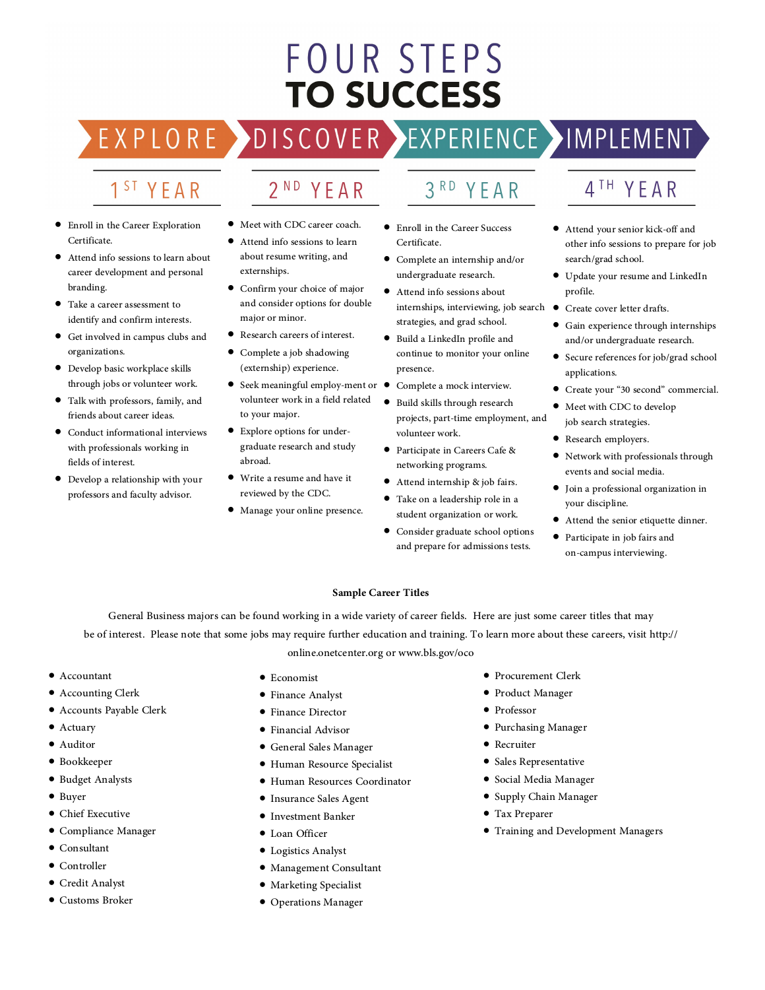# FOUR STEPS **TO SUCCESS**

EXPLO  $R$ 

### 2<sup>ND</sup> YEAR

SCOVER >

• Enroll in the Career Exploration Certificate.

1<sup>ST</sup> YEAR

- Attend info sessions to learn about career development and personal branding.
- Take a career assessment to identify and confirm interests.
- Get involved in campus clubs and organizations.
- Develop basic workplace skills through jobs or volunteer work.
- Talk with professors, family, and friends about career ideas.
- Conduct informational interviews with professionals working in fields of interest.
- Develop a relationship with your professors and faculty advisor.
- Meet with CDC career coach.
- Attend info sessions to learn about resume writing, and externships.
- Confirm your choice of major and consider options for double major or minor.
- Research careers of interest.
- Complete a job shadowing (externship) experience.
- Seek meaningful employ-ment or <br>volunteer work in a field related <br>to your major.
- Explore options for under graduate research and study abroad.
- Write a resume and have it reviewed by the CDC.
- Manage your online presence.
- 
- Enroll in the Career Success Certificate.
- Complete an internship and/or undergraduate research.
- Attend info sessions about<br>internships, interviewing, job search  $\bullet$ <br>strategies, and grad school.
- Build a LinkedIn profile and continue to monitor your online presence.
- Complete a mock interview.<br>•  $P^{\text{total}}$  chills through research
- Build skills through research projects, part-time employment, and volunteer work.
- Participate in Careers Cafe & networking programs.
- Attend internship & job fairs.
- Take on a leadership role in a<br>student organization or work.
- Consider graduate school options and prepare for admissions tests.

### 4TH YEAR

- Attend your senior kick-off and other info sessions to prepare for job search/grad school.
- Update your resume and LinkedIn profile.
- Create cover letter drafts.
- Gain experience through internships and/or undergraduate research.
- Secure references for job/grad school<br>applications.
- Create your "30 second" commercial.
- Meet with CDC to develop job search strategies.
- Research employers.
- Network with professionals through events and social media.
- Join a professional organization in your discipline.
- Attend the senior etiquette dinner.
- Participate in job fairs and on-campus interviewing.

### **Sample Career Titles**

General Business majors can be found working in a wide variety of career fields. Here are just some career titles that may<br>be of interest. Please note that some jobs may require further education and training. To learn mor

online.onetcenter.org or www.bls.gov/oco

- Accountant
- Accounting Clerk
- Accounts Payable Clerk
- Actuary
- Auditor
- Bookkeeper
- Budget Analysts
- Buyer
- Chief Executive
- Compliance Manager
- Consultant
- Controller
- Credit Analyst
- Customs Broker
- Economist
- Finance Analyst
- Finance Director
- Financial Advisor
- General Sales Manager
- Human Resource Specialist
- Human Resources Coordinator
- Insurance Sales Agent
- Investment Banker
- Loan Officer
- Logistics Analyst
- Management Consultant
- Marketing Specialist
- Operations Manager
- Procurement Clerk
- Product Manager
- Professor
- Purchasing Manager
- Recruiter
- Sales Representative
- Social Media Manager
- Supply Chain Manager
- Tax Preparer
- Training and Development Managers
- 
- 

### $3<sup>RD</sup>$ YEAR

EXPERIENCE >IMPLEMENT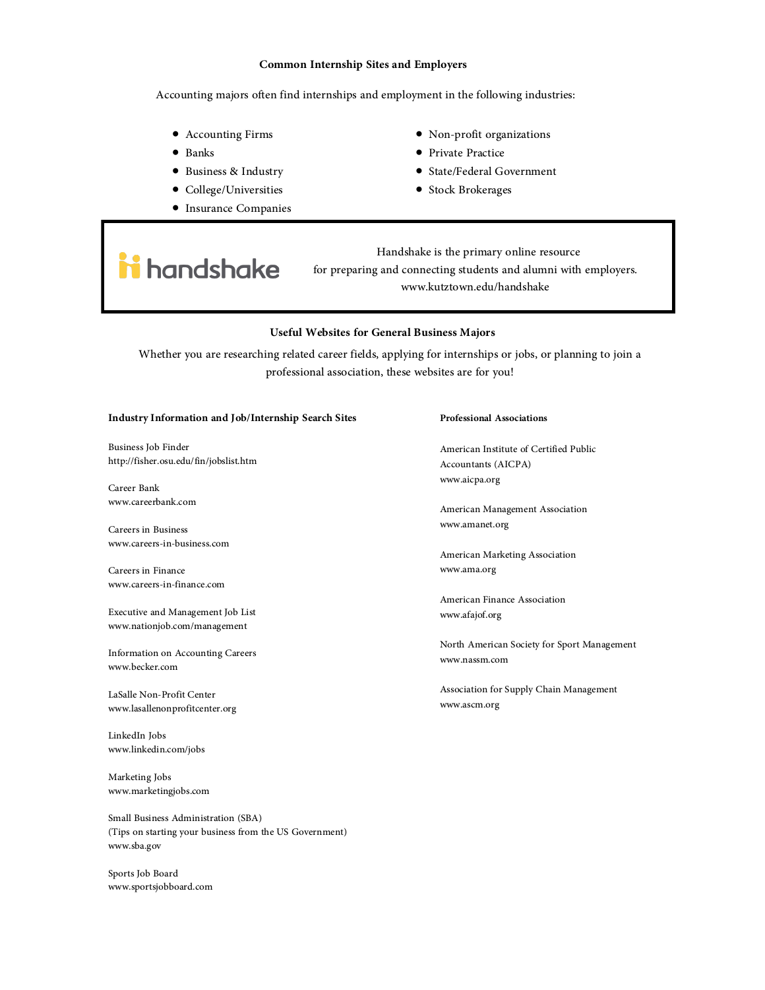### **Common Internship Sites and Employers**

Accounting majors often find internships and employment in the following industries:

- Accounting Firms
- Banks
- Business & Industry
- College/Universities
- Insurance Companies
- Non-profit organizations
- Private Practice
- State/Federal Government
- Stock Brokerages

## i handshake

Handshake is the primary online resource for preparing and connecting students and alumni with employers. www.kutztown.edu/handshake

### **Useful Websites for General Business Majors**

Whether you are researching related career fields, applying for internships or jobs, or planning to join a professional association, these websites are for you!

#### **Industry Information and Job/Internship Search Sites**

Business Job Finder http://fisher.osu.edu/fin/jobslist.htm

Career Bank www.careerbank.com

Careers in Business www.careers-in-business.com

Careers in Finance www.careers-in-finance.com

Executive and Management Job List www.nationjob.com/management

Information on Accounting Careers www.becker.com LaSalle Non-Profit Center www.lasallenonprofitcenter.org

LinkedIn Jobs www.linkedin.com/jobs

Marketing Jobs www.marketingjobs.com

Small Business Administration (SBA) (Tips on starting your business from the US Government) www.sba.gov

Sports Job Board www.sportsjobboard.com

### **Professional Associations**

American Institute of Certified Public Accountants (AICPA) www.aicpa.org

American Management Association www.amanet.org

American Marketing Association www.ama.org

American Finance Association www.afajof.org

North American Society for Sport Management www.nassm.com

Association for Supply Chain Management www.ascm.org